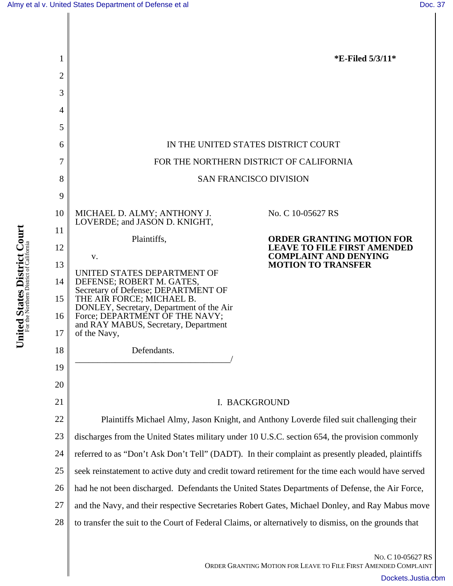**United States District Court** For the Northern District of California

United States District Court



NO. C 10-05627 RS ORDER GRANTING MOTION FOR LEAVE TO FILE FIRST AMENDED COMPLAINT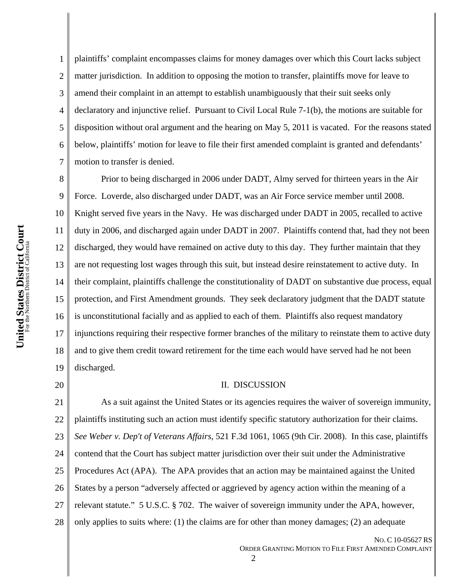1 2 3 4 5 6 7 plaintiffs' complaint encompasses claims for money damages over which this Court lacks subject matter jurisdiction. In addition to opposing the motion to transfer, plaintiffs move for leave to amend their complaint in an attempt to establish unambiguously that their suit seeks only declaratory and injunctive relief. Pursuant to Civil Local Rule 7-1(b), the motions are suitable for disposition without oral argument and the hearing on May 5, 2011 is vacated. For the reasons stated below, plaintiffs' motion for leave to file their first amended complaint is granted and defendants' motion to transfer is denied.

8 9 10 11 12 13 14 15 16 17 18 19 Prior to being discharged in 2006 under DADT, Almy served for thirteen years in the Air Force. Loverde, also discharged under DADT, was an Air Force service member until 2008. Knight served five years in the Navy. He was discharged under DADT in 2005, recalled to active duty in 2006, and discharged again under DADT in 2007. Plaintiffs contend that, had they not been discharged, they would have remained on active duty to this day. They further maintain that they are not requesting lost wages through this suit, but instead desire reinstatement to active duty. In their complaint, plaintiffs challenge the constitutionality of DADT on substantive due process, equal protection, and First Amendment grounds. They seek declaratory judgment that the DADT statute is unconstitutional facially and as applied to each of them. Plaintiffs also request mandatory injunctions requiring their respective former branches of the military to reinstate them to active duty and to give them credit toward retirement for the time each would have served had he not been discharged.

20

## II. DISCUSSION

21 22 23 24 25 26 27 28 As a suit against the United States or its agencies requires the waiver of sovereign immunity, plaintiffs instituting such an action must identify specific statutory authorization for their claims. *See Weber v. Dep't of Veterans Affairs*, 521 F.3d 1061, 1065 (9th Cir. 2008). In this case, plaintiffs contend that the Court has subject matter jurisdiction over their suit under the Administrative Procedures Act (APA). The APA provides that an action may be maintained against the United States by a person "adversely affected or aggrieved by agency action within the meaning of a relevant statute." 5 U.S.C. § 702. The waiver of sovereign immunity under the APA, however, only applies to suits where: (1) the claims are for other than money damages; (2) an adequate

NO. C 10-05627 RS ORDER GRANTING MOTION TO FILE FIRST AMENDED COMPLAINT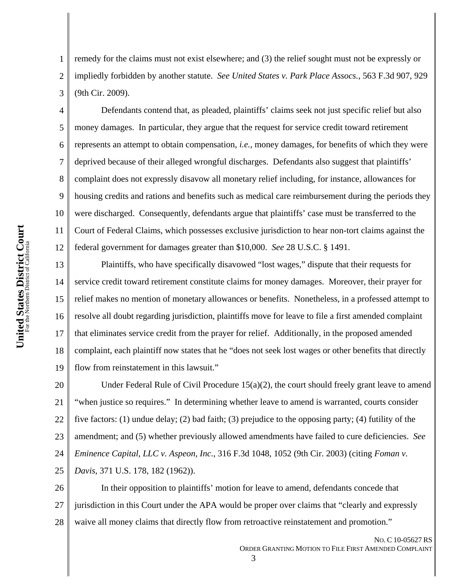2 3 remedy for the claims must not exist elsewhere; and (3) the relief sought must not be expressly or impliedly forbidden by another statute. *See United States v. Park Place Assocs.*, 563 F.3d 907, 929 (9th Cir. 2009).

4 5 6 7 8 9 10 12 Defendants contend that, as pleaded, plaintiffs' claims seek not just specific relief but also money damages. In particular, they argue that the request for service credit toward retirement represents an attempt to obtain compensation, *i.e.*, money damages, for benefits of which they were deprived because of their alleged wrongful discharges. Defendants also suggest that plaintiffs' complaint does not expressly disavow all monetary relief including, for instance, allowances for housing credits and rations and benefits such as medical care reimbursement during the periods they were discharged. Consequently, defendants argue that plaintiffs' case must be transferred to the Court of Federal Claims, which possesses exclusive jurisdiction to hear non-tort claims against the federal government for damages greater than \$10,000. *See* 28 U.S.C. § 1491.

13 14 15 16 17 18 19 Plaintiffs, who have specifically disavowed "lost wages," dispute that their requests for service credit toward retirement constitute claims for money damages. Moreover, their prayer for relief makes no mention of monetary allowances or benefits. Nonetheless, in a professed attempt to resolve all doubt regarding jurisdiction, plaintiffs move for leave to file a first amended complaint that eliminates service credit from the prayer for relief. Additionally, in the proposed amended complaint, each plaintiff now states that he "does not seek lost wages or other benefits that directly flow from reinstatement in this lawsuit."

20 21 22 23 24 25 Under Federal Rule of Civil Procedure  $15(a)(2)$ , the court should freely grant leave to amend "when justice so requires." In determining whether leave to amend is warranted, courts consider five factors: (1) undue delay; (2) bad faith; (3) prejudice to the opposing party; (4) futility of the amendment; and (5) whether previously allowed amendments have failed to cure deficiencies. *See Eminence Capital, LLC v. Aspeon, Inc.*, 316 F.3d 1048, 1052 (9th Cir. 2003) (citing *Foman v. Davis*, 371 U.S. 178, 182 (1962)).

26 27 28 In their opposition to plaintiffs' motion for leave to amend, defendants concede that jurisdiction in this Court under the APA would be proper over claims that "clearly and expressly waive all money claims that directly flow from retroactive reinstatement and promotion."

1

11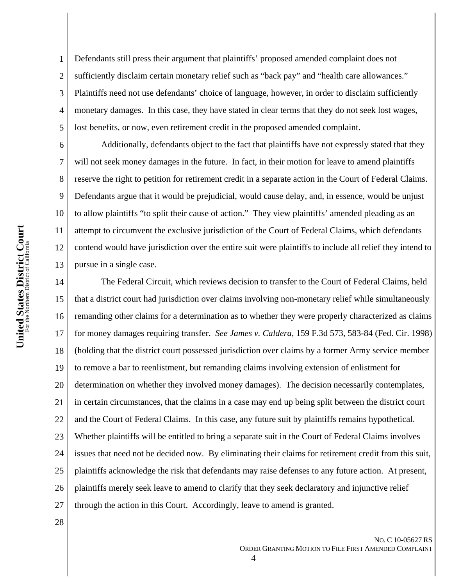1 2 3 4 5 Defendants still press their argument that plaintiffs' proposed amended complaint does not sufficiently disclaim certain monetary relief such as "back pay" and "health care allowances." Plaintiffs need not use defendants' choice of language, however, in order to disclaim sufficiently monetary damages. In this case, they have stated in clear terms that they do not seek lost wages, lost benefits, or now, even retirement credit in the proposed amended complaint.

Additionally, defendants object to the fact that plaintiffs have not expressly stated that they will not seek money damages in the future. In fact, in their motion for leave to amend plaintiffs reserve the right to petition for retirement credit in a separate action in the Court of Federal Claims. Defendants argue that it would be prejudicial, would cause delay, and, in essence, would be unjust to allow plaintiffs "to split their cause of action." They view plaintiffs' amended pleading as an attempt to circumvent the exclusive jurisdiction of the Court of Federal Claims, which defendants contend would have jurisdiction over the entire suit were plaintiffs to include all relief they intend to pursue in a single case.

14 15 16 17 18 19 20 21 22 23 24 25 26 27 The Federal Circuit, which reviews decision to transfer to the Court of Federal Claims, held that a district court had jurisdiction over claims involving non-monetary relief while simultaneously remanding other claims for a determination as to whether they were properly characterized as claims for money damages requiring transfer. *See James v. Caldera*, 159 F.3d 573, 583-84 (Fed. Cir. 1998) (holding that the district court possessed jurisdiction over claims by a former Army service member to remove a bar to reenlistment, but remanding claims involving extension of enlistment for determination on whether they involved money damages). The decision necessarily contemplates, in certain circumstances, that the claims in a case may end up being split between the district court and the Court of Federal Claims. In this case, any future suit by plaintiffs remains hypothetical. Whether plaintiffs will be entitled to bring a separate suit in the Court of Federal Claims involves issues that need not be decided now. By eliminating their claims for retirement credit from this suit, plaintiffs acknowledge the risk that defendants may raise defenses to any future action. At present, plaintiffs merely seek leave to amend to clarify that they seek declaratory and injunctive relief through the action in this Court. Accordingly, leave to amend is granted.

28

6

7

8

9

10

11

12

13